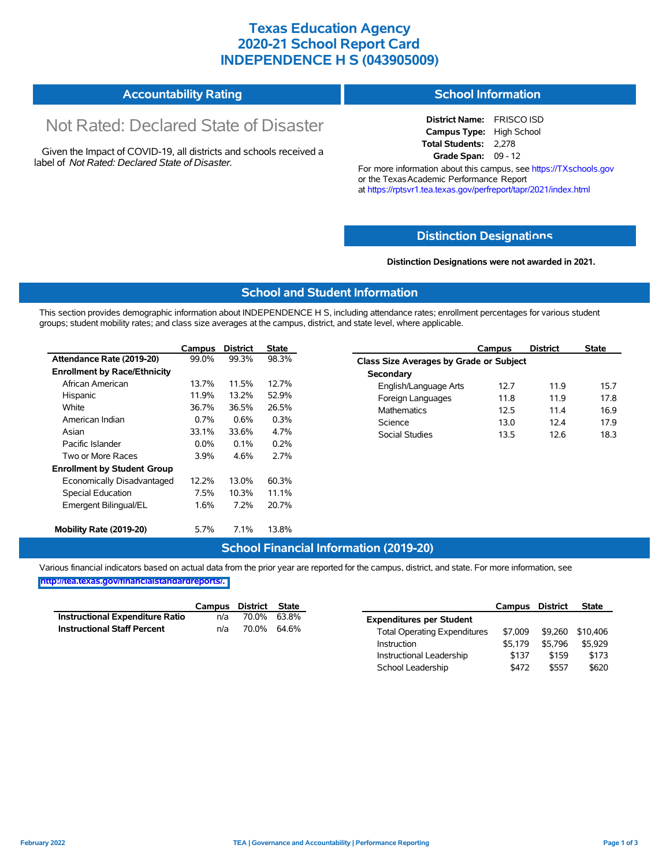### **Texas Education Agency 2020-21 School Report Card INDEPENDENCE H S (043905009)**

#### **Accountability Rating School Information**

# Not Rated: Declared State of Disaster

Given the Impact of COVID-19, all districts and schools received a label of *Not Rated: Declared State of Disaster.*

**District Name:** FRISCO ISD **Campus Type:** High School **Total Students:** 2,278 **Grade Span:** 09 - 12

For more information about this campus, see https://TXschools.gov or the Texas Academic Performance Report at https://rptsvr1.tea.texas.gov/perfreport/tapr/2021/index.html

#### **Distinction Designat[ions](https://TXschools.gov)**

**Distinction Designations were not awarded in 2021.**

School Leadership  $$472$  \$557 \$620

#### **School and Student Information**

This section provides demographic information about INDEPENDENCE H S, including attendance rates; enrollment percentages for various student groups; student mobility rates; and class size averages at the campus, district, and state level, where applicable.

|                                     | Campus  | <b>District</b> | <b>State</b> | Campus                                  | <b>District</b> | <b>State</b> |  |  |  |  |  |
|-------------------------------------|---------|-----------------|--------------|-----------------------------------------|-----------------|--------------|--|--|--|--|--|
| Attendance Rate (2019-20)           | 99.0%   | 99.3%           | 98.3%        | Class Size Averages by Grade or Subject |                 |              |  |  |  |  |  |
| <b>Enrollment by Race/Ethnicity</b> |         |                 |              | Secondary                               |                 |              |  |  |  |  |  |
| African American                    | 13.7%   | 11.5%           | 12.7%        | 12.7<br>English/Language Arts           | 11.9            |              |  |  |  |  |  |
| Hispanic                            | 11.9%   | 13.2%           | 52.9%        | 11.8<br>Foreign Languages               | 11.9            |              |  |  |  |  |  |
| White                               | 36.7%   | 36.5%           | 26.5%        | <b>Mathematics</b><br>12.5              | 11.4            |              |  |  |  |  |  |
| American Indian                     | 0.7%    | $0.6\%$         | 0.3%         | Science<br>13.0                         | 12.4            |              |  |  |  |  |  |
| Asian                               | 33.1%   | 33.6%           | 4.7%         | Social Studies<br>13.5                  | 12.6            |              |  |  |  |  |  |
| Pacific Islander                    | $0.0\%$ | 0.1%            | 0.2%         |                                         |                 |              |  |  |  |  |  |
| Two or More Races                   | 3.9%    | 4.6%            | 2.7%         |                                         |                 |              |  |  |  |  |  |
| <b>Enrollment by Student Group</b>  |         |                 |              |                                         |                 |              |  |  |  |  |  |
| Economically Disadvantaged          | 12.2%   | 13.0%           | 60.3%        |                                         |                 |              |  |  |  |  |  |
| Special Education                   | 7.5%    | 10.3%           | 11.1%        |                                         |                 |              |  |  |  |  |  |
| Emergent Bilingual/EL               | 1.6%    | 7.2%            | 20.7%        |                                         |                 |              |  |  |  |  |  |
| Mobility Rate (2019-20)             | 5.7%    | 7.1%            | 13.8%        |                                         |                 |              |  |  |  |  |  |

#### **School Financial Information (2019-20)**

Various financial indicators based on actual data from the prior year are reported for the campus, district, and state. For more information, see

**[http://tea.texas.gov/financialstandardreports/.](http://tea.texas.gov/financialstandardreports/)**

|                                        | Campus | District | State       |                                     | Campus  | <b>District</b> | <b>State</b> |
|----------------------------------------|--------|----------|-------------|-------------------------------------|---------|-----------------|--------------|
| <b>Instructional Expenditure Ratio</b> | n/a    | 70.0%    | 63.8%       | <b>Expenditures per Student</b>     |         |                 |              |
| <b>Instructional Staff Percent</b>     | n/a    |          | 70.0% 64.6% | <b>Total Operating Expenditures</b> | \$7.009 | \$9.260         | \$10.406     |
|                                        |        |          |             | Instruction                         | \$5.179 | \$5.796         | \$5.929      |
|                                        |        |          |             | Instructional Leadership            | \$137   | \$159           | \$173        |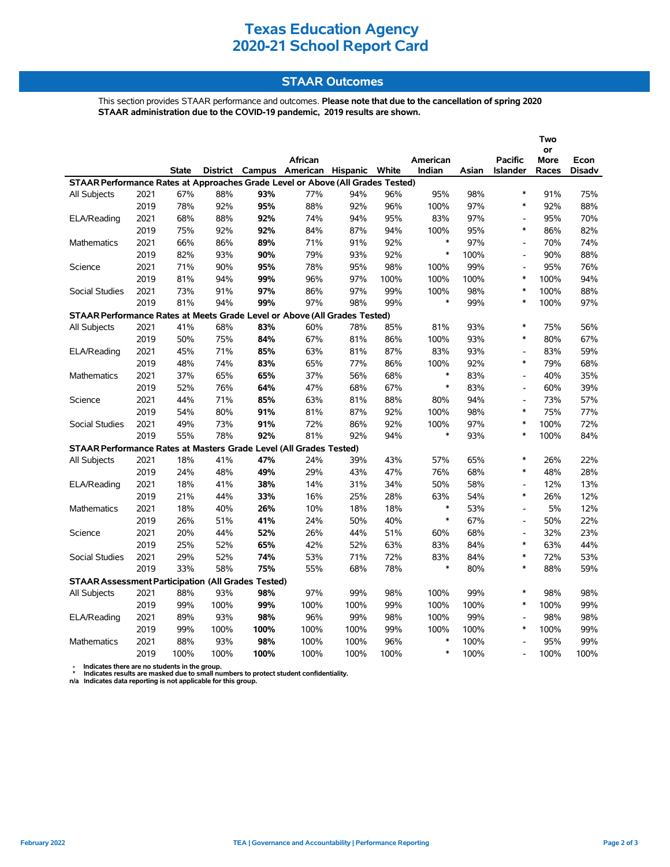### **Texas Education Agency 2020-21 School Report Card**

### **STAAR Outcomes**

This section provides STAAR performance and outcomes. **Please note that due to the cancellation of spring 2020 STAAR administration due to the COVID-19 pandemic, 2019 results are shown.**

|                                                                                |      |              |      |      |                                         |      |      |          |       | Two<br>or                |             |               |
|--------------------------------------------------------------------------------|------|--------------|------|------|-----------------------------------------|------|------|----------|-------|--------------------------|-------------|---------------|
|                                                                                |      |              |      |      | African                                 |      |      | American |       | <b>Pacific</b>           | <b>More</b> | Econ          |
|                                                                                |      | <b>State</b> |      |      | District Campus American Hispanic White |      |      | Indian   | Asian | Islander                 | Races       | <b>Disadv</b> |
| STAAR Performance Rates at Approaches Grade Level or Above (All Grades Tested) |      |              |      |      |                                         |      |      |          |       |                          |             |               |
| All Subjects                                                                   | 2021 | 67%          | 88%  | 93%  | 77%                                     | 94%  | 96%  | 95%      | 98%   | $\ast$                   | 91%         | 75%           |
|                                                                                | 2019 | 78%          | 92%  | 95%  | 88%                                     | 92%  | 96%  | 100%     | 97%   | $\ast$                   | 92%         | 88%           |
| ELA/Reading                                                                    | 2021 | 68%          | 88%  | 92%  | 74%                                     | 94%  | 95%  | 83%      | 97%   | $\overline{a}$           | 95%         | 70%           |
|                                                                                | 2019 | 75%          | 92%  | 92%  | 84%                                     | 87%  | 94%  | 100%     | 95%   | $\ast$                   | 86%         | 82%           |
| <b>Mathematics</b>                                                             | 2021 | 66%          | 86%  | 89%  | 71%                                     | 91%  | 92%  | $\ast$   | 97%   | $\overline{a}$           | 70%         | 74%           |
|                                                                                | 2019 | 82%          | 93%  | 90%  | 79%                                     | 93%  | 92%  | $\ast$   | 100%  | $\overline{\phantom{a}}$ | 90%         | 88%           |
| Science                                                                        | 2021 | 71%          | 90%  | 95%  | 78%                                     | 95%  | 98%  | 100%     | 99%   | $\overline{\phantom{a}}$ | 95%         | 76%           |
|                                                                                | 2019 | 81%          | 94%  | 99%  | 96%                                     | 97%  | 100% | 100%     | 100%  | $\ast$                   | 100%        | 94%           |
| <b>Social Studies</b>                                                          | 2021 | 73%          | 91%  | 97%  | 86%                                     | 97%  | 99%  | 100%     | 98%   | $\ast$                   | 100%        | 88%           |
|                                                                                | 2019 | 81%          | 94%  | 99%  | 97%                                     | 98%  | 99%  | $\ast$   | 99%   | $\ast$                   | 100%        | 97%           |
| STAAR Performance Rates at Meets Grade Level or Above (All Grades Tested)      |      |              |      |      |                                         |      |      |          |       |                          |             |               |
| All Subjects                                                                   | 2021 | 41%          | 68%  | 83%  | 60%                                     | 78%  | 85%  | 81%      | 93%   | $\ast$                   | 75%         | 56%           |
|                                                                                | 2019 | 50%          | 75%  | 84%  | 67%                                     | 81%  | 86%  | 100%     | 93%   | $\ast$                   | 80%         | 67%           |
| ELA/Reading                                                                    | 2021 | 45%          | 71%  | 85%  | 63%                                     | 81%  | 87%  | 83%      | 93%   | $\overline{a}$           | 83%         | 59%           |
|                                                                                | 2019 | 48%          | 74%  | 83%  | 65%                                     | 77%  | 86%  | 100%     | 92%   | $\ast$                   | 79%         | 68%           |
| Mathematics                                                                    | 2021 | 37%          | 65%  | 65%  | 37%                                     | 56%  | 68%  | $\ast$   | 83%   | $\overline{\phantom{a}}$ | 40%         | 35%           |
|                                                                                | 2019 | 52%          | 76%  | 64%  | 47%                                     | 68%  | 67%  | $\ast$   | 83%   | $\overline{\phantom{a}}$ | 60%         | 39%           |
| Science                                                                        | 2021 | 44%          | 71%  | 85%  | 63%                                     | 81%  | 88%  | 80%      | 94%   | L,                       | 73%         | 57%           |
|                                                                                | 2019 | 54%          | 80%  | 91%  | 81%                                     | 87%  | 92%  | 100%     | 98%   | $\ast$                   | 75%         | 77%           |
| Social Studies                                                                 | 2021 | 49%          | 73%  | 91%  | 72%                                     | 86%  | 92%  | 100%     | 97%   | $\ast$                   | 100%        | 72%           |
|                                                                                | 2019 | 55%          | 78%  | 92%  | 81%                                     | 92%  | 94%  | $\ast$   | 93%   | $\ast$                   | 100%        | 84%           |
| STAAR Performance Rates at Masters Grade Level (All Grades Tested)             |      |              |      |      |                                         |      |      |          |       |                          |             |               |
| All Subjects                                                                   | 2021 | 18%          | 41%  | 47%  | 24%                                     | 39%  | 43%  | 57%      | 65%   | $\ast$                   | 26%         | 22%           |
|                                                                                | 2019 | 24%          | 48%  | 49%  | 29%                                     | 43%  | 47%  | 76%      | 68%   | $\ast$                   | 48%         | 28%           |
| ELA/Reading                                                                    | 2021 | 18%          | 41%  | 38%  | 14%                                     | 31%  | 34%  | 50%      | 58%   | $\overline{\phantom{a}}$ | 12%         | 13%           |
|                                                                                | 2019 | 21%          | 44%  | 33%  | 16%                                     | 25%  | 28%  | 63%      | 54%   | $\ast$                   | 26%         | 12%           |
| Mathematics                                                                    | 2021 | 18%          | 40%  | 26%  | 10%                                     | 18%  | 18%  | $\ast$   | 53%   | $\overline{a}$           | 5%          | 12%           |
|                                                                                | 2019 | 26%          | 51%  | 41%  | 24%                                     | 50%  | 40%  | $\ast$   | 67%   | $\overline{a}$           | 50%         | 22%           |
| Science                                                                        | 2021 | 20%          | 44%  | 52%  | 26%                                     | 44%  | 51%  | 60%      | 68%   | $\overline{\phantom{a}}$ | 32%         | 23%           |
|                                                                                | 2019 | 25%          | 52%  | 65%  | 42%                                     | 52%  | 63%  | 83%      | 84%   | $\ast$                   | 63%         | 44%           |
| Social Studies                                                                 | 2021 | 29%          | 52%  | 74%  | 53%                                     | 71%  | 72%  | 83%      | 84%   | $\ast$                   | 72%         | 53%           |
|                                                                                | 2019 | 33%          | 58%  | 75%  | 55%                                     | 68%  | 78%  | $\ast$   | 80%   | $\ast$                   | 88%         | 59%           |
| <b>STAAR Assessment Participation (All Grades Tested)</b>                      |      |              |      |      |                                         |      |      |          |       |                          |             |               |
| All Subjects                                                                   | 2021 | 88%          | 93%  | 98%  | 97%                                     | 99%  | 98%  | 100%     | 99%   | $\ast$                   | 98%         | 98%           |
|                                                                                | 2019 | 99%          | 100% | 99%  | 100%                                    | 100% | 99%  | 100%     | 100%  | $\ast$                   | 100%        | 99%           |
| ELA/Reading                                                                    | 2021 | 89%          | 93%  | 98%  | 96%                                     | 99%  | 98%  | 100%     | 99%   | L,                       | 98%         | 98%           |
|                                                                                | 2019 | 99%          | 100% | 100% | 100%                                    | 100% | 99%  | 100%     | 100%  | $\ast$                   | 100%        | 99%           |
| <b>Mathematics</b>                                                             | 2021 | 88%          | 93%  | 98%  | 100%                                    | 100% | 96%  | $\ast$   | 100%  |                          | 95%         | 99%           |
|                                                                                | 2019 | 100%         | 100% | 100% | 100%                                    | 100% | 100% | $\ast$   | 100%  | $\overline{\phantom{a}}$ | 100%        | 100%          |

 **- Indicates there are no students in the group. \* Indicates results are masked due to small numbers to protect student confidentiality.**

**n/a Indicates data reporting is not applicable for this group.**